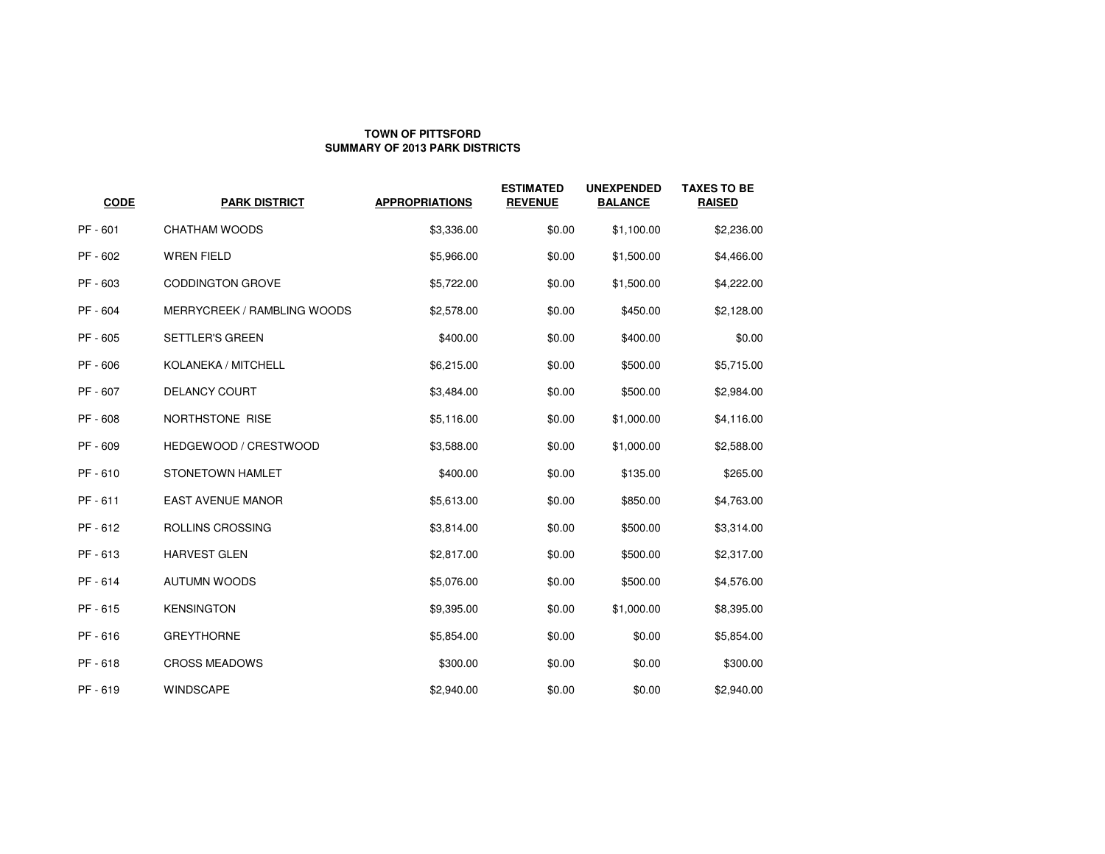## **TOWN OF PITTSFORDSUMMARY OF 2013 PARK DISTRICTS**

| <b>CODE</b> | <b>PARK DISTRICT</b>               | <b>APPROPRIATIONS</b> | <b>ESTIMATED</b><br><b>REVENUE</b> | <b>UNEXPENDED</b><br><b>BALANCE</b> | <b>TAXES TO BE</b><br><b>RAISED</b> |
|-------------|------------------------------------|-----------------------|------------------------------------|-------------------------------------|-------------------------------------|
| PF - 601    | <b>CHATHAM WOODS</b>               | \$3,336.00            | \$0.00                             | \$1,100.00                          | \$2,236.00                          |
| PF - 602    | <b>WREN FIELD</b>                  | \$5,966.00            | \$0.00                             | \$1,500.00                          | \$4,466.00                          |
| PF - 603    | <b>CODDINGTON GROVE</b>            | \$5,722.00            | \$0.00                             | \$1,500.00                          | \$4,222.00                          |
| PF - 604    | <b>MERRYCREEK / RAMBLING WOODS</b> | \$2,578.00            | \$0.00                             | \$450.00                            | \$2,128.00                          |
| PF - 605    | <b>SETTLER'S GREEN</b>             | \$400.00              | \$0.00                             | \$400.00                            | \$0.00                              |
| PF - 606    | KOLANEKA / MITCHELL                | \$6,215.00            | \$0.00                             | \$500.00                            | \$5,715.00                          |
| PF - 607    | <b>DELANCY COURT</b>               | \$3,484.00            | \$0.00                             | \$500.00                            | \$2,984.00                          |
| PF - 608    | NORTHSTONE RISE                    | \$5,116.00            | \$0.00                             | \$1,000.00                          | \$4,116.00                          |
| PF - 609    | HEDGEWOOD / CRESTWOOD              | \$3,588.00            | \$0.00                             | \$1,000.00                          | \$2,588.00                          |
| PF-610      | STONETOWN HAMLET                   | \$400.00              | \$0.00                             | \$135.00                            | \$265.00                            |
| PF - 611    | <b>EAST AVENUE MANOR</b>           | \$5,613.00            | \$0.00                             | \$850.00                            | \$4,763.00                          |
| PF - 612    | ROLLINS CROSSING                   | \$3,814.00            | \$0.00                             | \$500.00                            | \$3,314.00                          |
| PF-613      | <b>HARVEST GLEN</b>                | \$2,817.00            | \$0.00                             | \$500.00                            | \$2,317.00                          |
| PF - 614    | <b>AUTUMN WOODS</b>                | \$5,076.00            | \$0.00                             | \$500.00                            | \$4,576.00                          |
| PF-615      | <b>KENSINGTON</b>                  | \$9,395.00            | \$0.00                             | \$1,000.00                          | \$8,395.00                          |
| PF-616      | <b>GREYTHORNE</b>                  | \$5,854.00            | \$0.00                             | \$0.00                              | \$5,854.00                          |
| PF-618      | <b>CROSS MEADOWS</b>               | \$300.00              | \$0.00                             | \$0.00                              | \$300.00                            |
| PF-619      | <b>WINDSCAPE</b>                   | \$2,940.00            | \$0.00                             | \$0.00                              | \$2,940.00                          |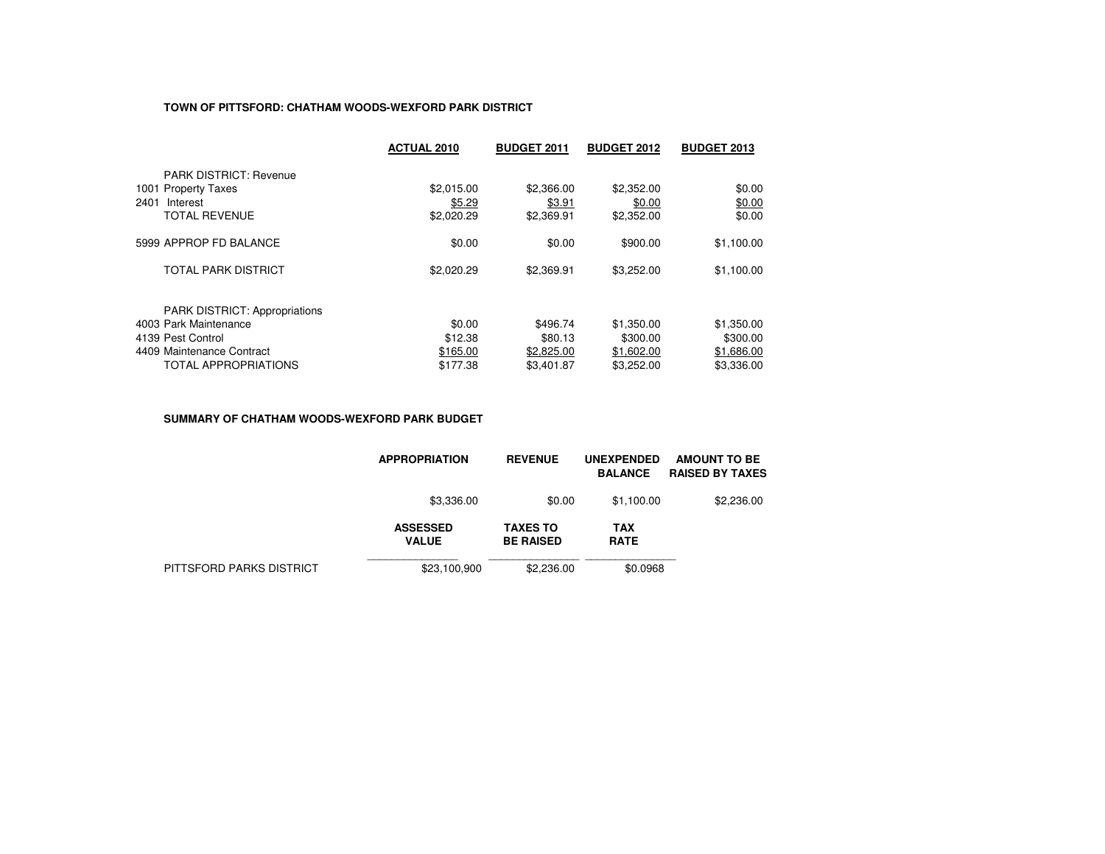## **TOWN OF PITTSFORD: CHATHAM WOODS-WEXFORD PARK DISTRICT**

|                                      | <b>ACTUAL 2010</b> | <b>BUDGET 2011</b> | <b>BUDGET 2012</b> | <b>BUDGET 2013</b> |
|--------------------------------------|--------------------|--------------------|--------------------|--------------------|
| <b>PARK DISTRICT: Revenue</b>        |                    |                    |                    |                    |
| 1001 Property Taxes                  | \$2,015.00         | \$2,366.00         | \$2,352.00         | \$0.00             |
| 2401<br>Interest                     | \$5.29             | \$3.91             | \$0.00             | \$0.00             |
| <b>TOTAL REVENUE</b>                 | \$2,020.29         | \$2,369.91         | \$2,352.00         | \$0.00             |
| 5999 APPROP FD BALANCE               | \$0.00             | \$0.00             | \$900.00           | \$1,100.00         |
| <b>TOTAL PARK DISTRICT</b>           | \$2,020.29         | \$2,369.91         | \$3,252.00         | \$1,100.00         |
| <b>PARK DISTRICT: Appropriations</b> |                    |                    |                    |                    |
| 4003 Park Maintenance                | \$0.00             | \$496.74           | \$1,350.00         | \$1,350.00         |
| 4139 Pest Control                    | \$12.38            | \$80.13            | \$300.00           | \$300.00           |
| 4409 Maintenance Contract            | \$165.00           | \$2,825,00         | \$1,602.00         | \$1,686.00         |
| <b>TOTAL APPROPRIATIONS</b>          | \$177.38           | \$3,401.87         | \$3,252.00         | \$3,336.00         |

#### **SUMMARY OF CHATHAM WOODS-WEXFORD PARK BUDGET**

|                          | <b>APPROPRIATION</b>            | <b>REVENUE</b>                      | <b>UNEXPENDED</b><br><b>BALANCE</b> | <b>AMOUNT TO BE</b><br><b>RAISED BY TAXES</b> |
|--------------------------|---------------------------------|-------------------------------------|-------------------------------------|-----------------------------------------------|
|                          | \$3,336.00                      | \$0.00                              | \$1.100.00                          | \$2,236.00                                    |
|                          | <b>ASSESSED</b><br><b>VALUE</b> | <b>TAXES TO</b><br><b>BE RAISED</b> | <b>TAX</b><br><b>RATE</b>           |                                               |
| PITTSFORD PARKS DISTRICT | \$23,100,900                    | \$2,236,00                          | \$0.0968                            |                                               |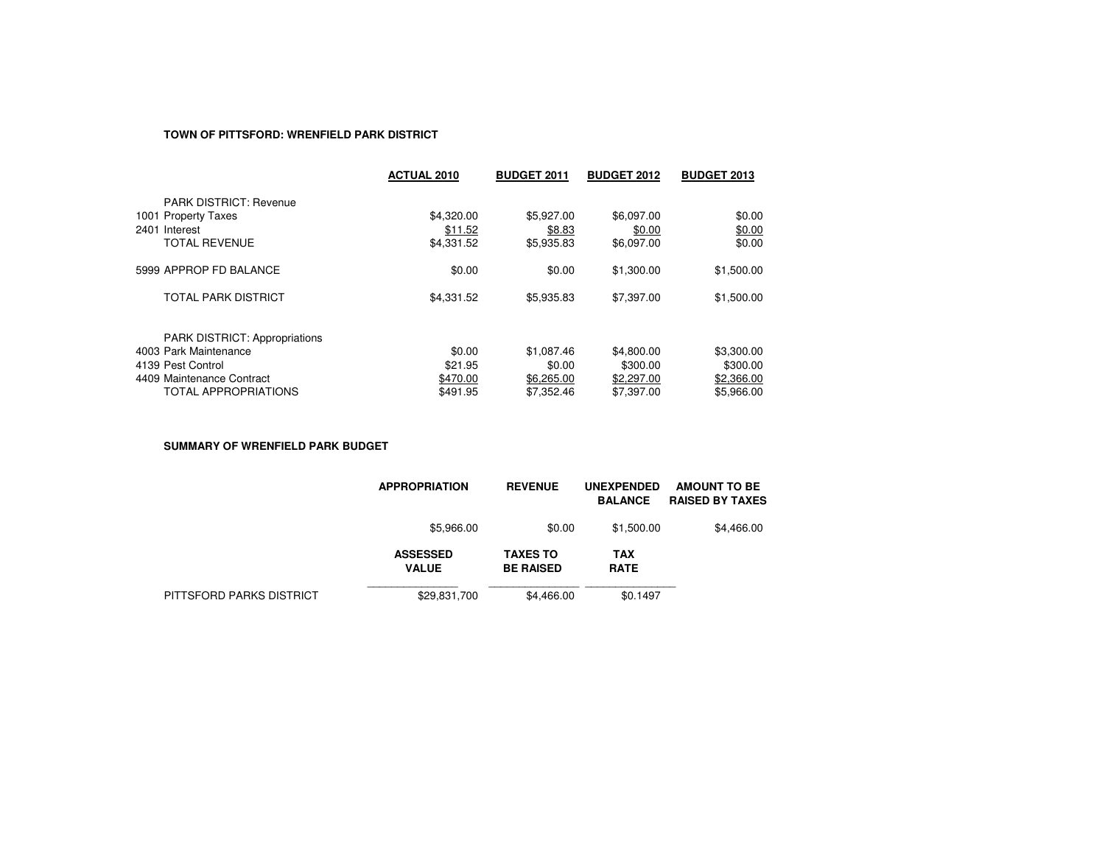## **TOWN OF PITTSFORD: WRENFIELD PARK DISTRICT**

|                                      | <b>ACTUAL 2010</b> | <b>BUDGET 2011</b> | <b>BUDGET 2012</b> | <b>BUDGET 2013</b> |
|--------------------------------------|--------------------|--------------------|--------------------|--------------------|
| <b>PARK DISTRICT: Revenue</b>        |                    |                    |                    |                    |
| 1001 Property Taxes                  | \$4,320.00         | \$5,927.00         | \$6.097.00         | \$0.00             |
| 2401 Interest                        | \$11.52            | \$8.83             | \$0.00             | \$0.00             |
| <b>TOTAL REVENUE</b>                 | \$4,331.52         | \$5,935.83         | \$6,097.00         | \$0.00             |
| 5999 APPROP FD BALANCE               | \$0.00             | \$0.00             | \$1,300.00         | \$1,500.00         |
| TOTAL PARK DISTRICT                  | \$4,331.52         | \$5,935.83         | \$7,397.00         | \$1,500.00         |
| <b>PARK DISTRICT: Appropriations</b> |                    |                    |                    |                    |
| 4003 Park Maintenance                | \$0.00             | \$1,087.46         | \$4,800.00         | \$3,300.00         |
| 4139 Pest Control                    | \$21.95            | \$0.00             | \$300.00           | \$300.00           |
| 4409 Maintenance Contract            | \$470.00           | \$6,265.00         | \$2,297.00         | \$2,366.00         |
| <b>TOTAL APPROPRIATIONS</b>          | \$491.95           | \$7,352.46         | \$7,397.00         | \$5.966.00         |

**SUMMARY OF WRENFIELD PARK BUDGET**

|                          | <b>APPROPRIATION</b>            | <b>REVENUE</b>                      | <b>UNEXPENDED</b><br><b>BALANCE</b> | <b>AMOUNT TO BE</b><br><b>RAISED BY TAXES</b> |
|--------------------------|---------------------------------|-------------------------------------|-------------------------------------|-----------------------------------------------|
|                          | \$5,966.00                      | \$0.00                              | \$1,500.00                          | \$4,466.00                                    |
|                          | <b>ASSESSED</b><br><b>VALUE</b> | <b>TAXES TO</b><br><b>BE RAISED</b> | <b>TAX</b><br><b>RATE</b>           |                                               |
| PITTSFORD PARKS DISTRICT | \$29,831,700                    | \$4,466.00                          | \$0.1497                            |                                               |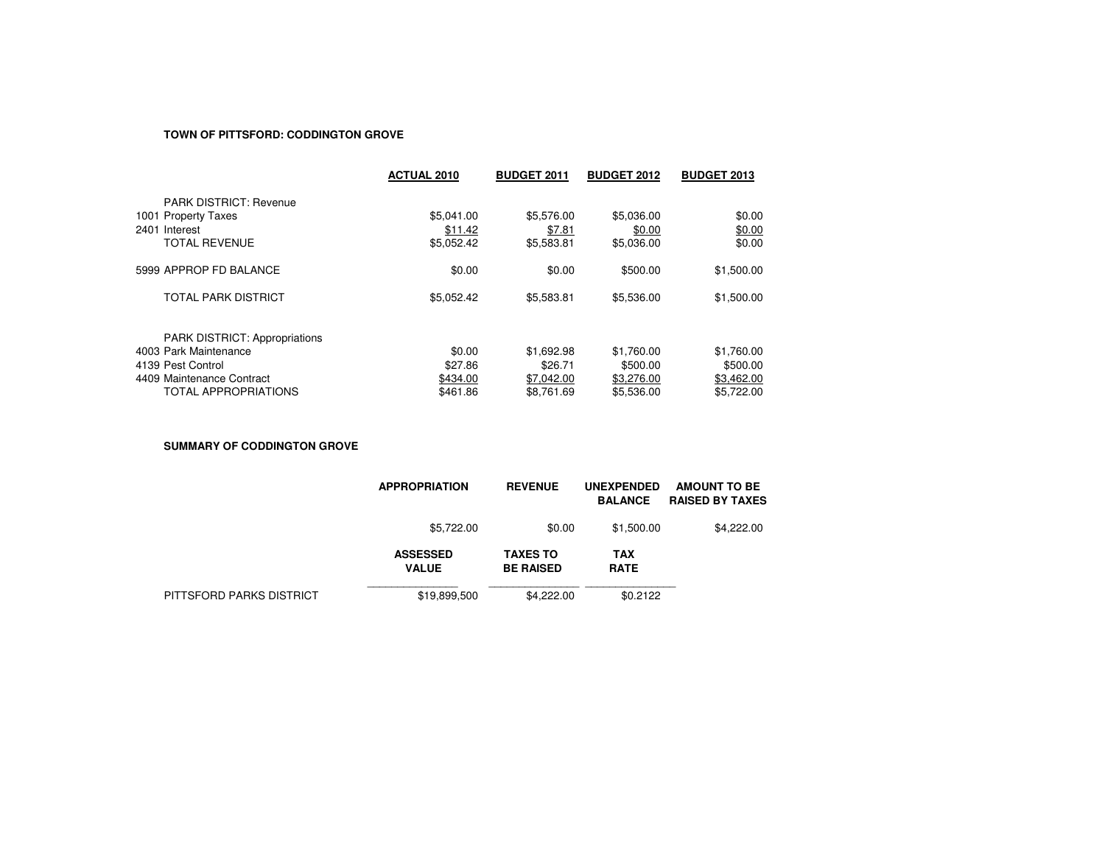#### **TOWN OF PITTSFORD: CODDINGTON GROVE**

|                                      | <b>ACTUAL 2010</b> | <b>BUDGET 2011</b> | <b>BUDGET 2012</b> | <b>BUDGET 2013</b> |
|--------------------------------------|--------------------|--------------------|--------------------|--------------------|
| <b>PARK DISTRICT: Revenue</b>        |                    |                    |                    |                    |
| 1001 Property Taxes                  | \$5,041.00         | \$5,576.00         | \$5,036.00         | \$0.00             |
| 2401 Interest                        | \$11.42            | \$7.81             | \$0.00             | \$0.00             |
| <b>TOTAL REVENUE</b>                 | \$5,052.42         | \$5,583.81         | \$5,036.00         | \$0.00             |
| 5999 APPROP FD BALANCE               | \$0.00             | \$0.00             | \$500.00           | \$1,500.00         |
| <b>TOTAL PARK DISTRICT</b>           | \$5,052.42         | \$5,583.81         | \$5,536.00         | \$1,500.00         |
| <b>PARK DISTRICT: Appropriations</b> |                    |                    |                    |                    |
| 4003 Park Maintenance                | \$0.00             | \$1,692.98         | \$1,760.00         | \$1,760.00         |
| 4139 Pest Control                    | \$27.86            | \$26.71            | \$500.00           | \$500.00           |
| 4409 Maintenance Contract            | \$434.00           | \$7,042.00         | \$3,276.00         | \$3,462.00         |
| <b>TOTAL APPROPRIATIONS</b>          | \$461.86           | \$8.761.69         | \$5,536,00         | \$5.722.00         |

**SUMMARY OF CODDINGTON GROVE**

|                          | <b>APPROPRIATION</b>            | <b>REVENUE</b>                      | <b>UNEXPENDED</b><br><b>BALANCE</b> | <b>AMOUNT TO BE</b><br><b>RAISED BY TAXES</b> |
|--------------------------|---------------------------------|-------------------------------------|-------------------------------------|-----------------------------------------------|
|                          | \$5,722,00                      | \$0.00                              | \$1,500.00                          | \$4,222.00                                    |
|                          | <b>ASSESSED</b><br><b>VALUE</b> | <b>TAXES TO</b><br><b>BE RAISED</b> | <b>TAX</b><br><b>RATE</b>           |                                               |
| PITTSFORD PARKS DISTRICT | \$19,899,500                    | \$4,222,00                          | \$0.2122                            |                                               |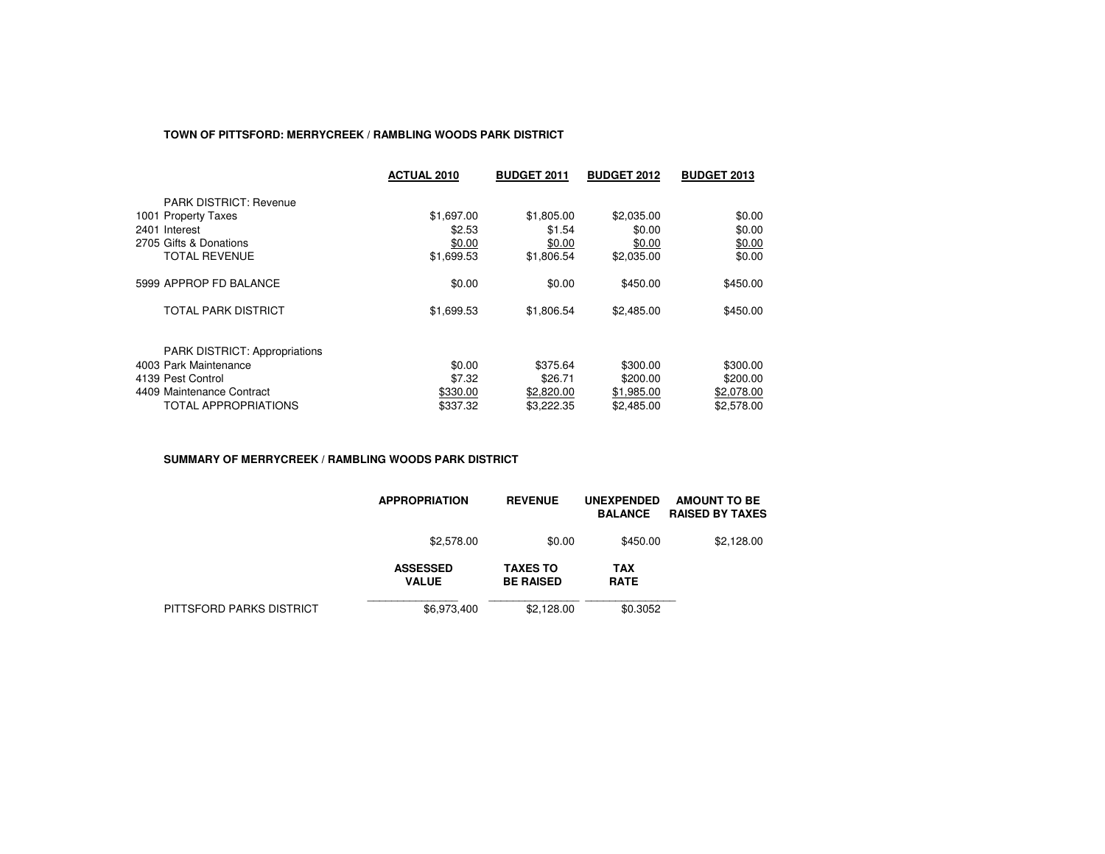## **TOWN OF PITTSFORD: MERRYCREEK / RAMBLING WOODS PARK DISTRICT**

|                                      | <b>ACTUAL 2010</b> | <b>BUDGET 2011</b> | <b>BUDGET 2012</b> | <b>BUDGET 2013</b> |
|--------------------------------------|--------------------|--------------------|--------------------|--------------------|
| <b>PARK DISTRICT: Revenue</b>        |                    |                    |                    |                    |
| 1001 Property Taxes                  | \$1,697.00         | \$1,805.00         | \$2,035.00         | \$0.00             |
| 2401 Interest                        | \$2.53             | \$1.54             | \$0.00             | \$0.00             |
| 2705 Gifts & Donations               | \$0.00             | \$0.00             | \$0.00             | \$0.00             |
| TOTAL REVENUE                        | \$1,699.53         | \$1,806.54         | \$2,035.00         | \$0.00             |
| 5999 APPROP FD BALANCE               | \$0.00             | \$0.00             | \$450.00           | \$450.00           |
| <b>TOTAL PARK DISTRICT</b>           | \$1,699.53         | \$1,806.54         | \$2,485.00         | \$450.00           |
| <b>PARK DISTRICT: Appropriations</b> |                    |                    |                    |                    |
| 4003 Park Maintenance                | \$0.00             | \$375.64           | \$300.00           | \$300.00           |
| 4139 Pest Control                    | \$7.32             | \$26.71            | \$200.00           | \$200.00           |
| 4409 Maintenance Contract            | \$330.00           | \$2,820.00         | \$1,985.00         | \$2,078.00         |
| TOTAL APPROPRIATIONS                 | \$337.32           | \$3,222,35         | \$2.485.00         | \$2,578.00         |

#### **SUMMARY OF MERRYCREEK / RAMBLING WOODS PARK DISTRICT**

|                          | <b>APPROPRIATION</b>            | <b>REVENUE</b>                      | <b>UNEXPENDED</b><br><b>BALANCE</b> | <b>AMOUNT TO BE</b><br><b>RAISED BY TAXES</b> |
|--------------------------|---------------------------------|-------------------------------------|-------------------------------------|-----------------------------------------------|
|                          | \$2,578,00                      | \$0.00                              | \$450.00                            | \$2,128.00                                    |
|                          | <b>ASSESSED</b><br><b>VALUE</b> | <b>TAXES TO</b><br><b>BE RAISED</b> | <b>TAX</b><br><b>RATE</b>           |                                               |
| PITTSFORD PARKS DISTRICT | \$6,973,400                     | \$2.128.00                          | \$0.3052                            |                                               |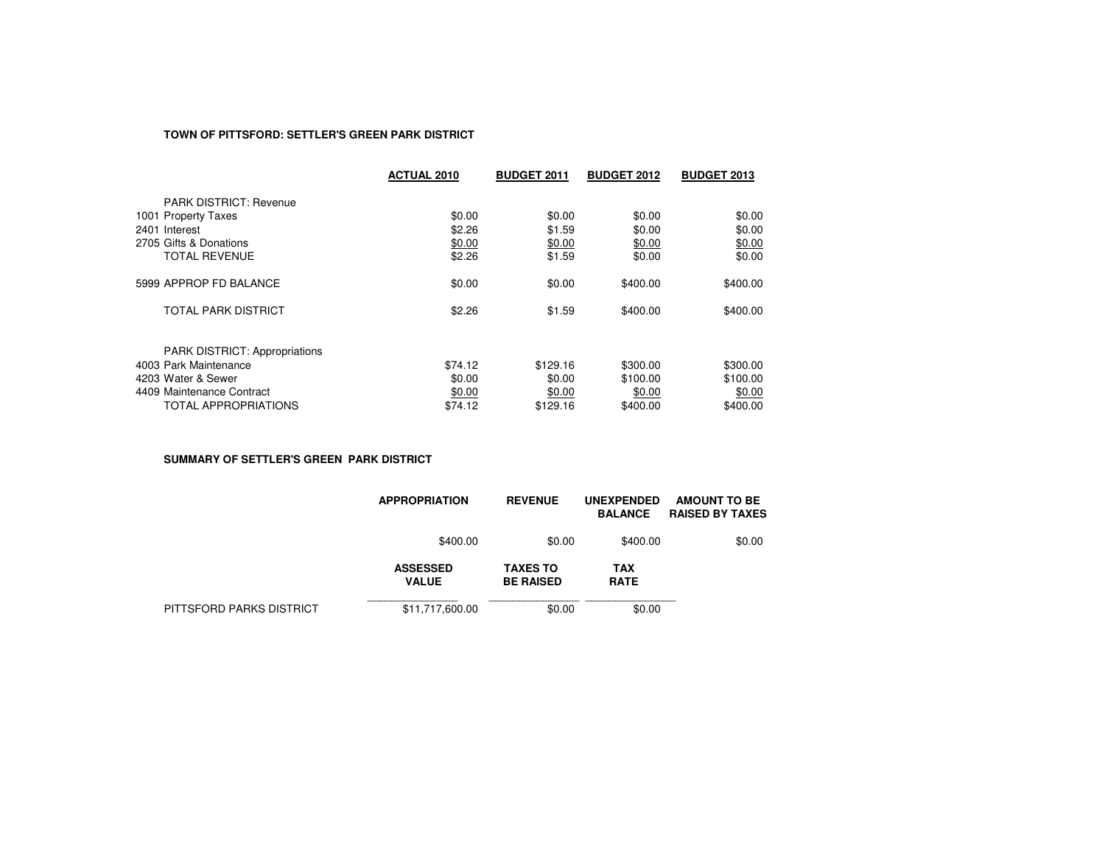#### **TOWN OF PITTSFORD: SETTLER'S GREEN PARK DISTRICT**

|                                      | <b>ACTUAL 2010</b> | <b>BUDGET 2011</b> | <b>BUDGET 2012</b> | <b>BUDGET 2013</b> |
|--------------------------------------|--------------------|--------------------|--------------------|--------------------|
| <b>PARK DISTRICT: Revenue</b>        |                    |                    |                    |                    |
| 1001 Property Taxes                  | \$0.00             | \$0.00             | \$0.00             | \$0.00             |
| 2401 Interest                        | \$2.26             | \$1.59             | \$0.00             | \$0.00             |
| 2705 Gifts & Donations               | \$0.00             | \$0.00             | \$0.00             | \$0.00             |
| <b>TOTAL REVENUE</b>                 | \$2.26             | \$1.59             | \$0.00             | \$0.00             |
| 5999 APPROP FD BALANCE               | \$0.00             | \$0.00             | \$400.00           | \$400.00           |
| TOTAL PARK DISTRICT                  | \$2.26             | \$1.59             | \$400.00           | \$400.00           |
| <b>PARK DISTRICT: Appropriations</b> |                    |                    |                    |                    |
| 4003 Park Maintenance                | \$74.12            | \$129.16           | \$300.00           | \$300.00           |
| 4203 Water & Sewer                   | \$0.00             | \$0.00             | \$100.00           | \$100.00           |
| 4409 Maintenance Contract            | \$0.00             | \$0.00             | \$0.00             | \$0.00             |
| TOTAL APPROPRIATIONS                 | \$74.12            | \$129.16           | \$400.00           | \$400.00           |

**SUMMARY OF SETTLER'S GREEN PARK DISTRICT**

|                          | <b>APPROPRIATION</b>            | <b>REVENUE</b>                      | <b>UNEXPENDED</b><br><b>BALANCE</b> | AMOUNT TO BE<br><b>RAISED BY TAXES</b> |
|--------------------------|---------------------------------|-------------------------------------|-------------------------------------|----------------------------------------|
|                          | \$400.00                        | \$0.00                              | \$400.00                            | \$0.00                                 |
|                          | <b>ASSESSED</b><br><b>VALUE</b> | <b>TAXES TO</b><br><b>BE RAISED</b> | TAX<br><b>RATE</b>                  |                                        |
| PITTSFORD PARKS DISTRICT | \$11,717,600.00                 | \$0.00                              | \$0.00                              |                                        |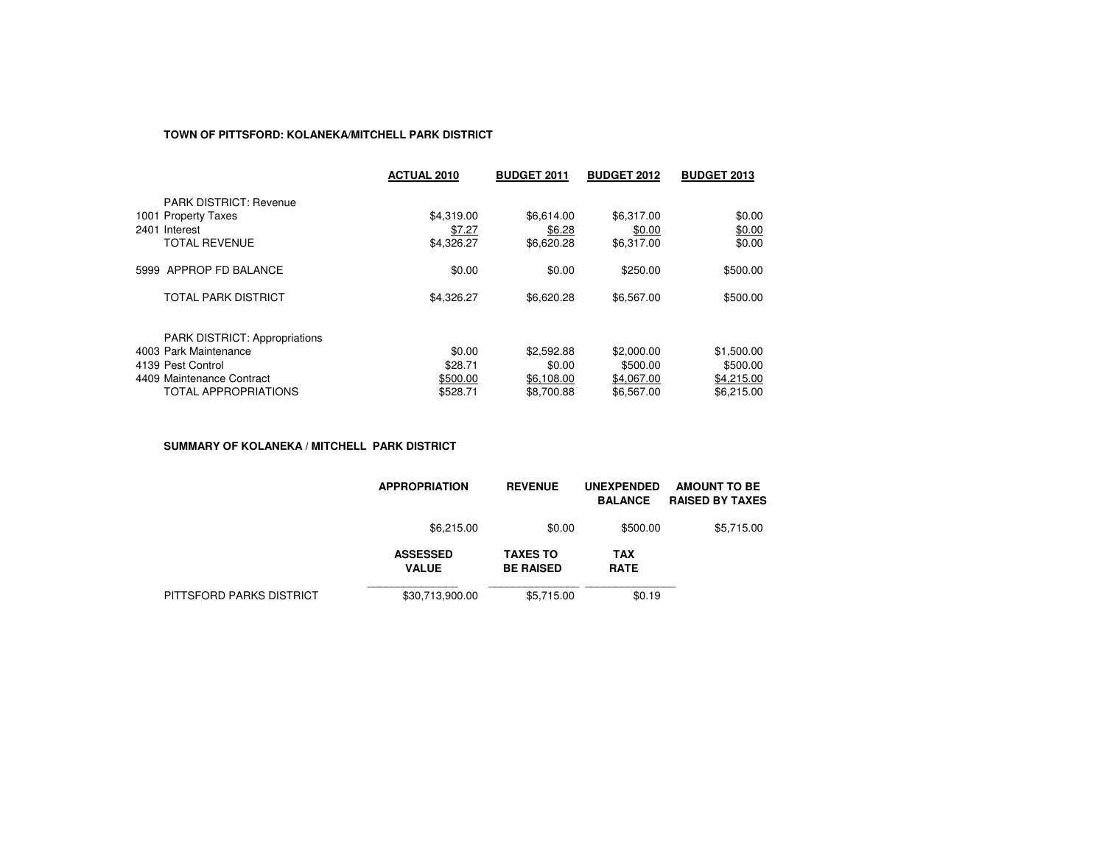## **TOWN OF PITTSFORD: KOLANEKA/MITCHELL PARK DISTRICT**

|                                                                                               | <b>ACTUAL 2010</b>                 | <b>BUDGET 2011</b>                 | <b>BUDGET 2012</b>                 | <b>BUDGET 2013</b>         |
|-----------------------------------------------------------------------------------------------|------------------------------------|------------------------------------|------------------------------------|----------------------------|
| <b>PARK DISTRICT: Revenue</b><br>1001 Property Taxes<br>2401 Interest<br><b>TOTAL REVENUE</b> | \$4,319.00<br>\$7.27<br>\$4,326.27 | \$6.614.00<br>\$6.28<br>\$6,620.28 | \$6,317.00<br>\$0.00<br>\$6,317.00 | \$0.00<br>\$0.00<br>\$0.00 |
| 5999 APPROP FD BALANCE                                                                        | \$0.00                             | \$0.00                             | \$250.00                           | \$500.00                   |
| <b>TOTAL PARK DISTRICT</b>                                                                    | \$4,326.27                         | \$6,620.28                         | \$6,567.00                         | \$500.00                   |
| <b>PARK DISTRICT: Appropriations</b><br>4003 Park Maintenance                                 | \$0.00                             | \$2,592.88                         | \$2,000.00                         | \$1,500.00                 |
| 4139 Pest Control                                                                             | \$28.71                            | \$0.00                             | \$500.00                           | \$500.00                   |
| 4409 Maintenance Contract                                                                     | \$500.00                           | \$6,108.00                         | \$4,067.00                         | \$4,215.00                 |
| <b>TOTAL APPROPRIATIONS</b>                                                                   | \$528.71                           | \$8,700.88                         | \$6.567.00                         | \$6.215.00                 |

**SUMMARY OF KOLANEKA / MITCHELL PARK DISTRICT**

|                          | <b>APPROPRIATION</b>            | <b>REVENUE</b>                      | <b>UNEXPENDED</b><br><b>BALANCE</b> | <b>AMOUNT TO BE</b><br><b>RAISED BY TAXES</b> |
|--------------------------|---------------------------------|-------------------------------------|-------------------------------------|-----------------------------------------------|
|                          | \$6,215.00                      | \$0.00                              | \$500.00                            | \$5,715.00                                    |
|                          | <b>ASSESSED</b><br><b>VALUE</b> | <b>TAXES TO</b><br><b>BE RAISED</b> | <b>TAX</b><br><b>RATE</b>           |                                               |
| PITTSFORD PARKS DISTRICT | \$30,713,900.00                 | \$5,715,00                          | \$0.19                              |                                               |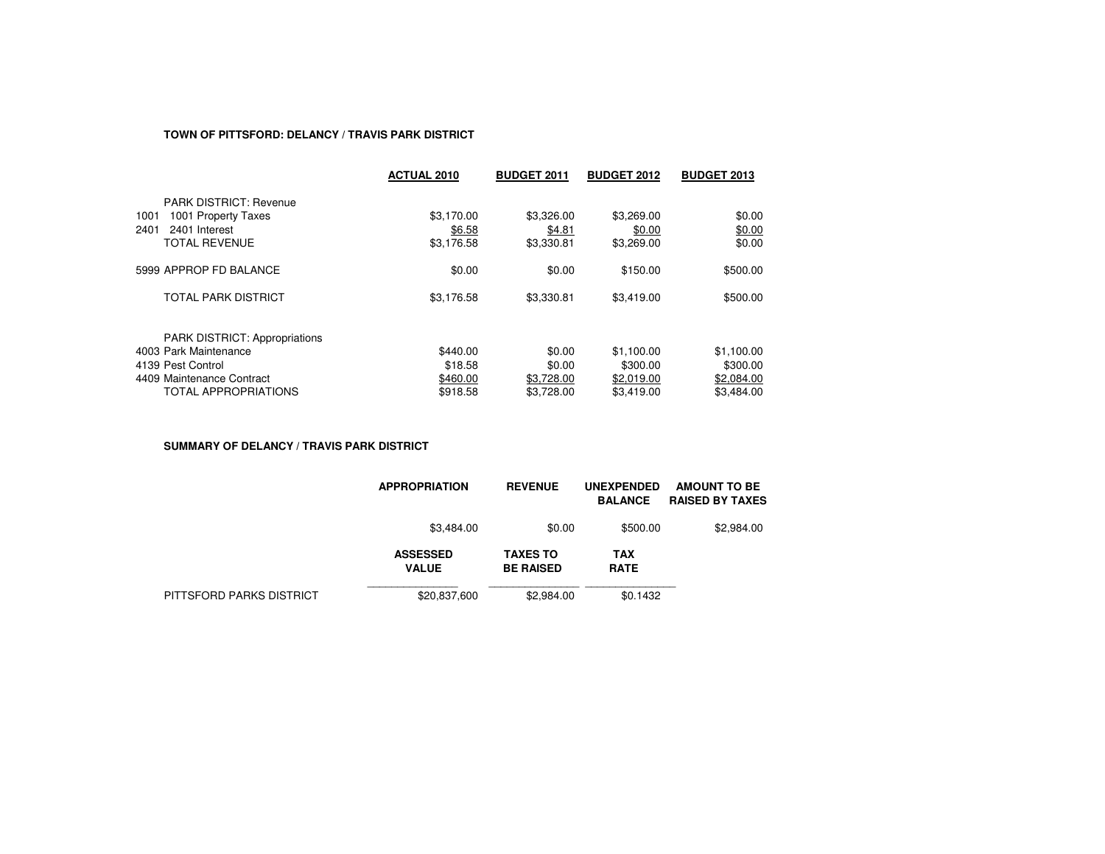## **TOWN OF PITTSFORD: DELANCY / TRAVIS PARK DISTRICT**

|                                      | <b>ACTUAL 2010</b> | <b>BUDGET 2011</b> | <b>BUDGET 2012</b> | <b>BUDGET 2013</b> |
|--------------------------------------|--------------------|--------------------|--------------------|--------------------|
| <b>PARK DISTRICT: Revenue</b>        |                    |                    |                    |                    |
| 1001 Property Taxes<br>1001          | \$3.170.00         | \$3,326,00         | \$3,269.00         | \$0.00             |
| 2401<br>2401 Interest                | \$6.58             | \$4.81             | \$0.00             | \$0.00             |
| <b>TOTAL REVENUE</b>                 | \$3,176.58         | \$3,330.81         | \$3,269.00         | \$0.00             |
| 5999 APPROP FD BALANCE               | \$0.00             | \$0.00             | \$150.00           | \$500.00           |
| TOTAL PARK DISTRICT                  | \$3,176.58         | \$3,330.81         | \$3,419.00         | \$500.00           |
| <b>PARK DISTRICT: Appropriations</b> |                    |                    |                    |                    |
| 4003 Park Maintenance                | \$440.00           | \$0.00             | \$1,100.00         | \$1,100.00         |
| 4139 Pest Control                    | \$18.58            | \$0.00             | \$300.00           | \$300.00           |
| 4409 Maintenance Contract            | \$460.00           | \$3.728.00         | \$2,019.00         | \$2,084.00         |
| <b>TOTAL APPROPRIATIONS</b>          | \$918.58           | \$3.728.00         | \$3.419.00         | \$3.484.00         |

**SUMMARY OF DELANCY / TRAVIS PARK DISTRICT**

|                          | <b>APPROPRIATION</b>            | <b>REVENUE</b>                      | <b>UNEXPENDED</b><br><b>BALANCE</b> | <b>AMOUNT TO BE</b><br><b>RAISED BY TAXES</b> |
|--------------------------|---------------------------------|-------------------------------------|-------------------------------------|-----------------------------------------------|
|                          | \$3,484.00                      | \$0.00                              | \$500.00                            | \$2,984.00                                    |
|                          | <b>ASSESSED</b><br><b>VALUE</b> | <b>TAXES TO</b><br><b>BE RAISED</b> | <b>TAX</b><br><b>RATE</b>           |                                               |
| PITTSFORD PARKS DISTRICT | \$20,837,600                    | \$2,984.00                          | \$0.1432                            |                                               |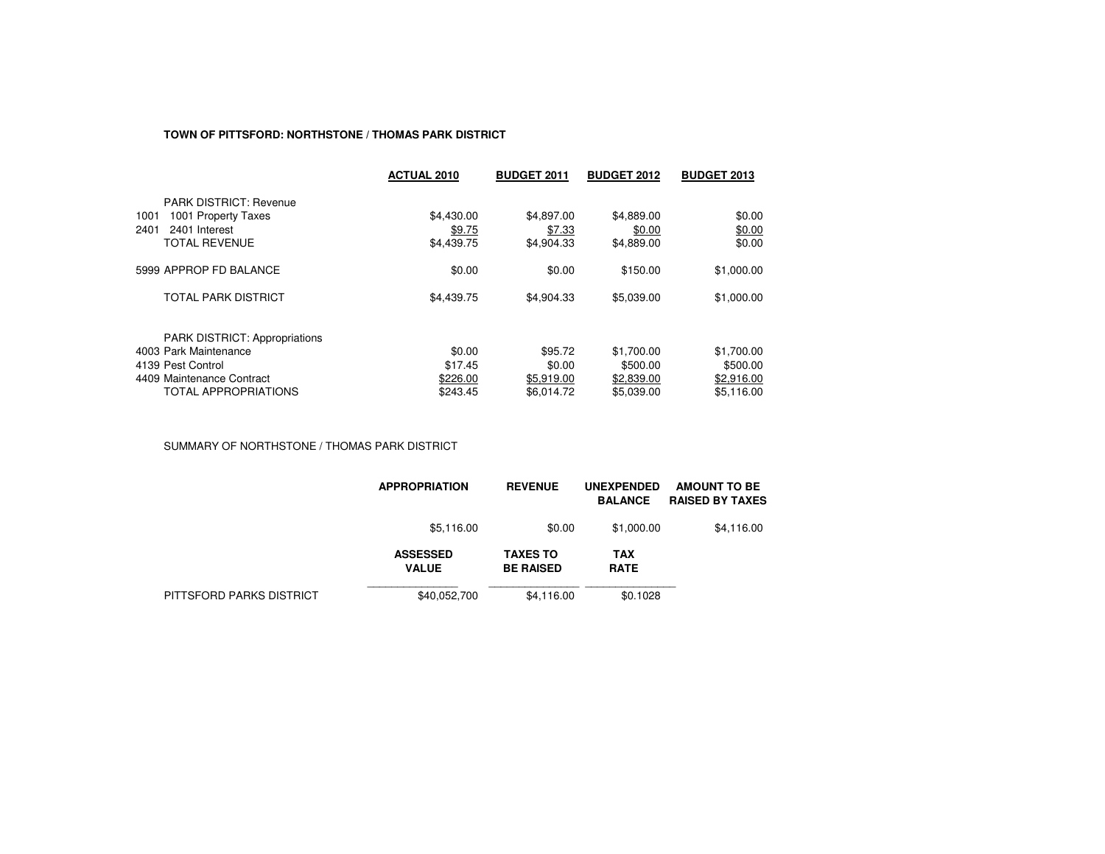#### **TOWN OF PITTSFORD: NORTHSTONE / THOMAS PARK DISTRICT**

|                                      | <b>ACTUAL 2010</b> | <b>BUDGET 2011</b> | <b>BUDGET 2012</b> | <b>BUDGET 2013</b> |
|--------------------------------------|--------------------|--------------------|--------------------|--------------------|
| <b>PARK DISTRICT: Revenue</b>        |                    |                    |                    |                    |
| 1001 Property Taxes<br>1001          | \$4,430.00         | \$4,897.00         | \$4,889.00         | \$0.00             |
| 2401<br>2401 Interest                | \$9.75             | \$7.33             | \$0.00             | \$0.00             |
| <b>TOTAL REVENUE</b>                 | \$4,439.75         | \$4,904.33         | \$4,889.00         | \$0.00             |
| 5999 APPROP FD BALANCE               | \$0.00             | \$0.00             | \$150.00           | \$1,000.00         |
| TOTAL PARK DISTRICT                  | \$4,439.75         | \$4,904.33         | \$5,039.00         | \$1,000.00         |
| <b>PARK DISTRICT: Appropriations</b> |                    |                    |                    |                    |
| 4003 Park Maintenance                | \$0.00             | \$95.72            | \$1,700.00         | \$1,700.00         |
| 4139 Pest Control                    | \$17.45            | \$0.00             | \$500.00           | \$500.00           |
| 4409 Maintenance Contract            | \$226.00           | \$5.919.00         | \$2,839.00         | \$2,916.00         |
| <b>TOTAL APPROPRIATIONS</b>          | \$243.45           | \$6.014.72         | \$5.039.00         | \$5.116.00         |

SUMMARY OF NORTHSTONE / THOMAS PARK DISTRICT

|                          | <b>APPROPRIATION</b>            | <b>REVENUE</b>                      | <b>UNEXPENDED</b><br><b>BALANCE</b> | <b>AMOUNT TO BE</b><br><b>RAISED BY TAXES</b> |
|--------------------------|---------------------------------|-------------------------------------|-------------------------------------|-----------------------------------------------|
|                          | \$5,116.00                      | \$0.00                              | \$1,000.00                          | \$4,116.00                                    |
|                          | <b>ASSESSED</b><br><b>VALUE</b> | <b>TAXES TO</b><br><b>BE RAISED</b> | <b>TAX</b><br><b>RATE</b>           |                                               |
| PITTSFORD PARKS DISTRICT | \$40,052,700                    | \$4,116.00                          | \$0.1028                            |                                               |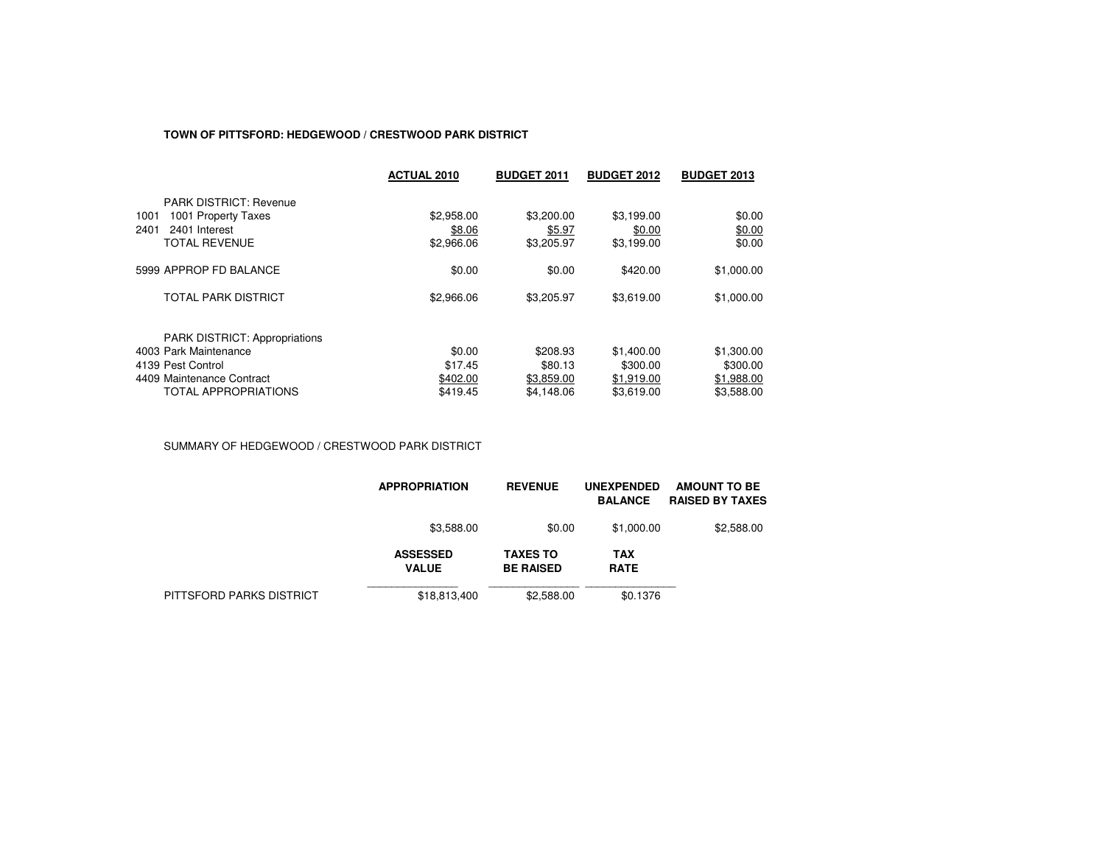## **TOWN OF PITTSFORD: HEDGEWOOD / CRESTWOOD PARK DISTRICT**

|                                      | <b>ACTUAL 2010</b> | <b>BUDGET 2011</b> | <b>BUDGET 2012</b> | <b>BUDGET 2013</b> |
|--------------------------------------|--------------------|--------------------|--------------------|--------------------|
| <b>PARK DISTRICT: Revenue</b>        |                    |                    |                    |                    |
| 1001 Property Taxes<br>1001          | \$2,958.00         | \$3,200.00         | \$3,199.00         | \$0.00             |
| 2401<br>2401 Interest                | \$8.06             | \$5.97             | \$0.00             | \$0.00             |
| <b>TOTAL REVENUE</b>                 | \$2,966.06         | \$3,205.97         | \$3,199.00         | \$0.00             |
| 5999 APPROP FD BALANCE               | \$0.00             | \$0.00             | \$420.00           | \$1,000.00         |
| <b>TOTAL PARK DISTRICT</b>           | \$2,966.06         | \$3,205.97         | \$3,619.00         | \$1,000.00         |
| <b>PARK DISTRICT: Appropriations</b> |                    |                    |                    |                    |
| 4003 Park Maintenance                | \$0.00             | \$208.93           | \$1,400.00         | \$1,300.00         |
| 4139 Pest Control                    | \$17.45            | \$80.13            | \$300.00           | \$300.00           |
| 4409 Maintenance Contract            | \$402.00           | \$3,859.00         | \$1,919.00         | \$1,988.00         |
| <b>TOTAL APPROPRIATIONS</b>          | \$419.45           | \$4,148.06         | \$3.619.00         | \$3,588,00         |

SUMMARY OF HEDGEWOOD / CRESTWOOD PARK DISTRICT

|                          | <b>APPROPRIATION</b>            | <b>REVENUE</b>                      | <b>UNEXPENDED</b><br><b>BALANCE</b> | AMOUNT TO BE<br><b>RAISED BY TAXES</b> |
|--------------------------|---------------------------------|-------------------------------------|-------------------------------------|----------------------------------------|
|                          | \$3,588.00                      | \$0.00                              | \$1,000.00                          | \$2,588.00                             |
|                          | <b>ASSESSED</b><br><b>VALUE</b> | <b>TAXES TO</b><br><b>BE RAISED</b> | <b>TAX</b><br><b>RATE</b>           |                                        |
| PITTSFORD PARKS DISTRICT | \$18,813,400                    | \$2,588,00                          | \$0.1376                            |                                        |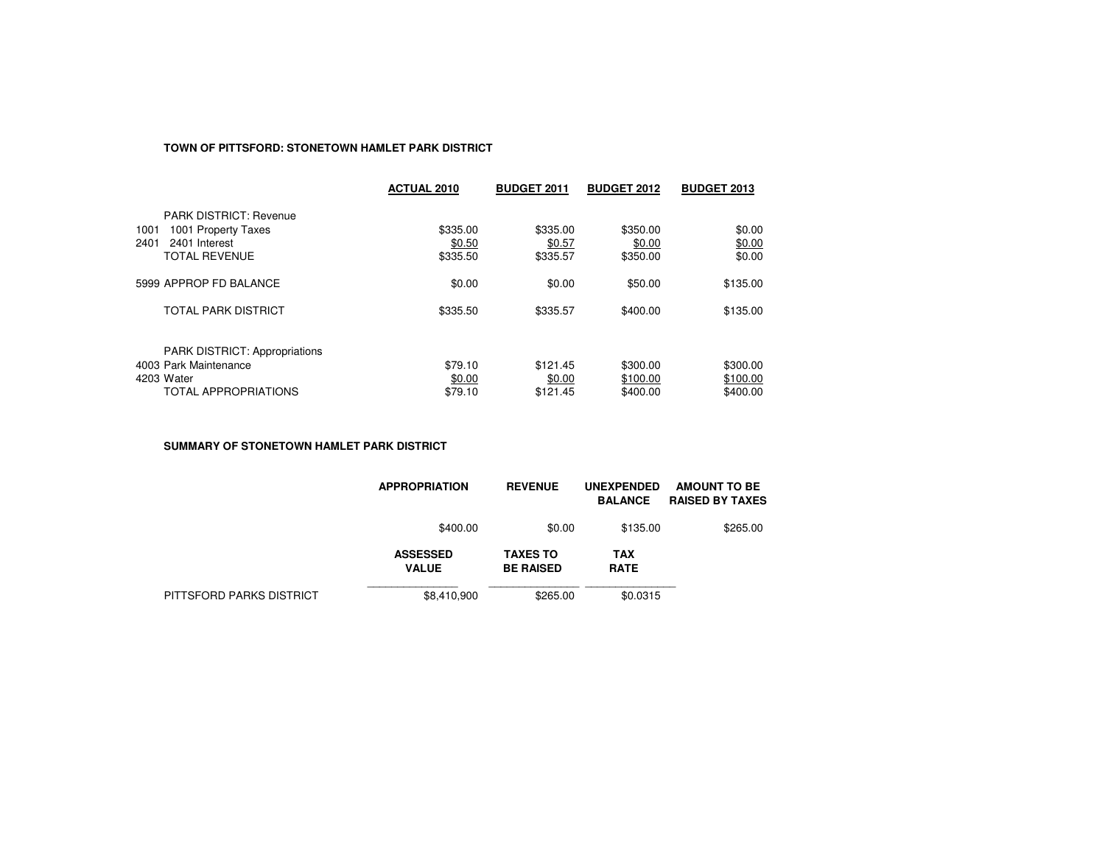## **TOWN OF PITTSFORD: STONETOWN HAMLET PARK DISTRICT**

|                                                               | <b>ACTUAL 2010</b> | <b>BUDGET 2011</b> | <b>BUDGET 2012</b> | <b>BUDGET 2013</b> |
|---------------------------------------------------------------|--------------------|--------------------|--------------------|--------------------|
| <b>PARK DISTRICT: Revenue</b>                                 |                    |                    |                    |                    |
| 1001 Property Taxes<br>1001                                   | \$335.00           | \$335.00           | \$350.00           | \$0.00             |
| 2401 Interest<br>2401                                         | \$0.50             | \$0.57             | \$0.00             | \$0.00             |
| <b>TOTAL REVENUE</b>                                          | \$335.50           | \$335.57           | \$350.00           | \$0.00             |
| 5999 APPROP FD BALANCE                                        | \$0.00             | \$0.00             | \$50.00            | \$135.00           |
| <b>TOTAL PARK DISTRICT</b>                                    | \$335.50           | \$335.57           | \$400.00           | \$135.00           |
|                                                               |                    |                    |                    |                    |
| <b>PARK DISTRICT: Appropriations</b><br>4003 Park Maintenance |                    |                    |                    |                    |
|                                                               | \$79.10            | \$121.45           | \$300.00           | \$300.00           |
| 4203 Water                                                    | \$0.00             | \$0.00             | \$100.00           | \$100.00           |
| <b>TOTAL APPROPRIATIONS</b>                                   | \$79.10            | \$121.45           | \$400.00           | \$400.00           |

**SUMMARY OF STONETOWN HAMLET PARK DISTRICT**

|                          | <b>APPROPRIATION</b>            | <b>REVENUE</b>                      | <b>UNEXPENDED</b><br><b>BALANCE</b> | AMOUNT TO BE<br><b>RAISED BY TAXES</b> |
|--------------------------|---------------------------------|-------------------------------------|-------------------------------------|----------------------------------------|
|                          | \$400.00                        | \$0.00                              | \$135.00                            | \$265.00                               |
|                          | <b>ASSESSED</b><br><b>VALUE</b> | <b>TAXES TO</b><br><b>BE RAISED</b> | <b>TAX</b><br><b>RATE</b>           |                                        |
| PITTSFORD PARKS DISTRICT | \$8.410.900                     | \$265.00                            | \$0.0315                            |                                        |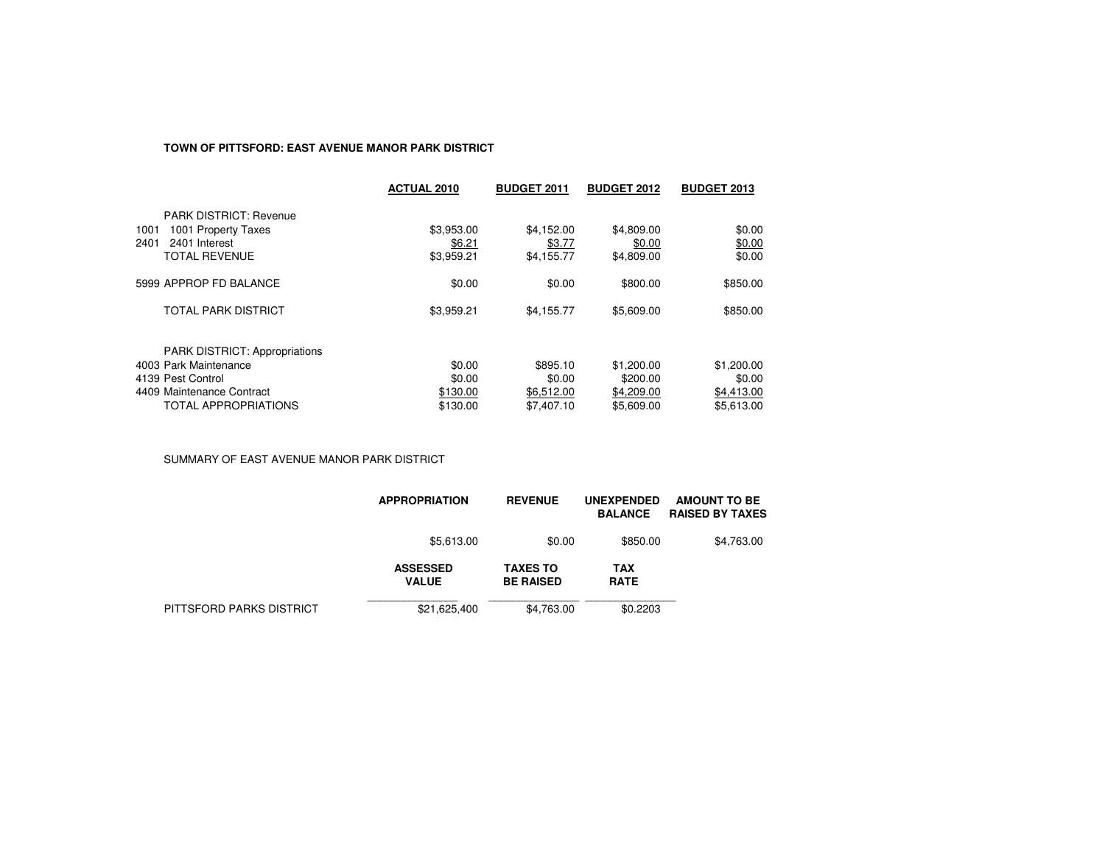# **TOWN OF PITTSFORD: EAST AVENUE MANOR PARK DISTRICT**

|                                      | <b>ACTUAL 2010</b> | <b>BUDGET 2011</b> | <b>BUDGET 2012</b> | <b>BUDGET 2013</b> |
|--------------------------------------|--------------------|--------------------|--------------------|--------------------|
| <b>PARK DISTRICT: Revenue</b>        |                    |                    |                    |                    |
| 1001<br>1001 Property Taxes          | \$3,953.00         | \$4,152.00         | \$4,809.00         | \$0.00             |
| 2401 Interest<br>2401                | \$6.21             | \$3.77             | \$0.00             | \$0.00             |
| <b>TOTAL REVENUE</b>                 | \$3,959.21         | \$4,155.77         | \$4,809.00         | \$0.00             |
| 5999 APPROP FD BALANCE               | \$0.00             | \$0.00             | \$800.00           | \$850.00           |
| <b>TOTAL PARK DISTRICT</b>           | \$3,959.21         | \$4.155.77         | \$5,609.00         | \$850.00           |
| <b>PARK DISTRICT: Appropriations</b> |                    |                    |                    |                    |
| 4003 Park Maintenance                | \$0.00             | \$895.10           | \$1,200.00         | \$1,200.00         |
| 4139 Pest Control                    | \$0.00             | \$0.00             | \$200.00           | \$0.00             |
| 4409 Maintenance Contract            | \$130.00           | \$6,512.00         | \$4,209.00         | \$4,413.00         |
| TOTAL APPROPRIATIONS                 | \$130.00           | \$7,407.10         | \$5,609.00         | \$5.613.00         |
|                                      |                    |                    |                    |                    |

SUMMARY OF EAST AVENUE MANOR PARK DISTRICT

|                          | <b>APPROPRIATION</b>            | <b>REVENUE</b>                      | <b>UNEXPENDED</b><br><b>BALANCE</b> | <b>AMOUNT TO BE</b><br><b>RAISED BY TAXES</b> |
|--------------------------|---------------------------------|-------------------------------------|-------------------------------------|-----------------------------------------------|
|                          | \$5,613.00                      | \$0.00                              | \$850.00                            | \$4,763.00                                    |
|                          | <b>ASSESSED</b><br><b>VALUE</b> | <b>TAXES TO</b><br><b>BE RAISED</b> | TAX<br><b>RATE</b>                  |                                               |
| PITTSFORD PARKS DISTRICT | \$21,625,400                    | \$4,763.00                          | \$0.2203                            |                                               |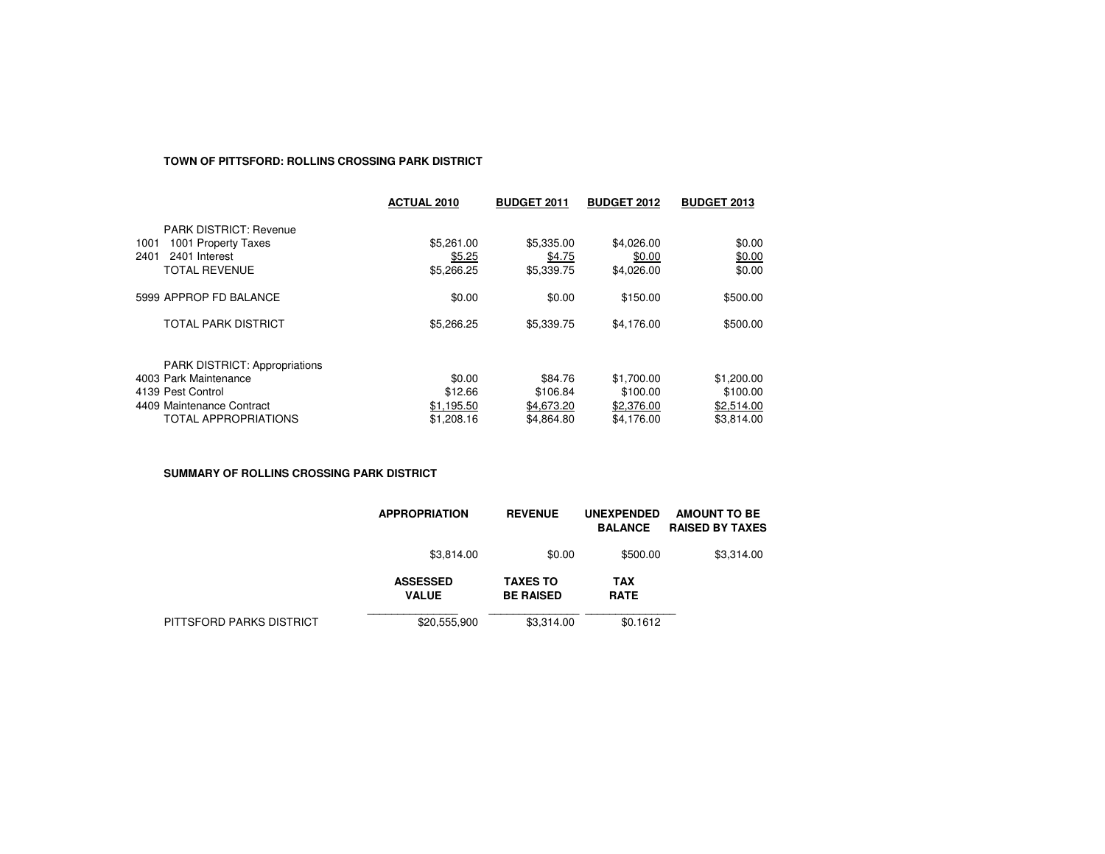#### **TOWN OF PITTSFORD: ROLLINS CROSSING PARK DISTRICT**

|                               | <b>ACTUAL 2010</b> | <b>BUDGET 2011</b> | <b>BUDGET 2012</b> | <b>BUDGET 2013</b> |
|-------------------------------|--------------------|--------------------|--------------------|--------------------|
| <b>PARK DISTRICT: Revenue</b> |                    |                    |                    |                    |
| 1001 Property Taxes<br>1001   | \$5,261.00         | \$5,335.00         | \$4,026.00         | \$0.00             |
| 2401<br>2401 Interest         | \$5.25             | \$4.75             | \$0.00             | \$0.00             |
| <b>TOTAL REVENUE</b>          | \$5,266.25         | \$5,339.75         | \$4,026.00         | \$0.00             |
| 5999 APPROP FD BALANCE        | \$0.00             | \$0.00             | \$150.00           | \$500.00           |
| <b>TOTAL PARK DISTRICT</b>    | \$5,266.25         | \$5,339.75         | \$4,176.00         | \$500.00           |
| PARK DISTRICT: Appropriations |                    |                    |                    |                    |
| 4003 Park Maintenance         | \$0.00             | \$84.76            | \$1,700.00         | \$1,200.00         |
| 4139 Pest Control             | \$12.66            | \$106.84           | \$100.00           | \$100.00           |
| 4409 Maintenance Contract     | \$1,195.50         | \$4,673.20         | \$2,376.00         | \$2,514.00         |
| <b>TOTAL APPROPRIATIONS</b>   | \$1,208.16         | \$4.864.80         | \$4.176.00         | \$3.814.00         |

**SUMMARY OF ROLLINS CROSSING PARK DISTRICT**

|                          | <b>APPROPRIATION</b>            | <b>REVENUE</b>                      | <b>UNEXPENDED</b><br><b>BALANCE</b> | AMOUNT TO BE<br><b>RAISED BY TAXES</b> |
|--------------------------|---------------------------------|-------------------------------------|-------------------------------------|----------------------------------------|
|                          | \$3,814.00                      | \$0.00                              | \$500.00                            | \$3,314.00                             |
|                          | <b>ASSESSED</b><br><b>VALUE</b> | <b>TAXES TO</b><br><b>BE RAISED</b> | TAX<br><b>RATE</b>                  |                                        |
| PITTSFORD PARKS DISTRICT | \$20,555,900                    | \$3,314.00                          | \$0.1612                            |                                        |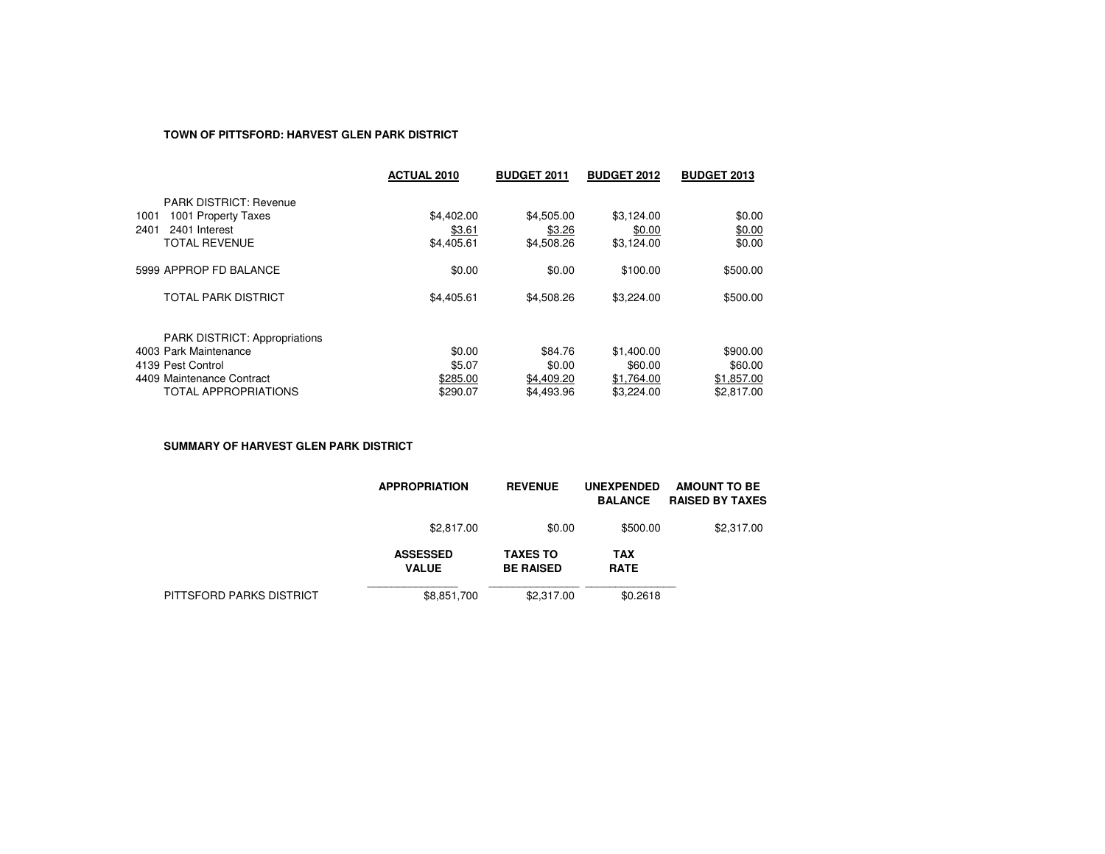## **TOWN OF PITTSFORD: HARVEST GLEN PARK DISTRICT**

|                                      | <b>ACTUAL 2010</b> | <b>BUDGET 2011</b> | <b>BUDGET 2012</b> | <b>BUDGET 2013</b> |
|--------------------------------------|--------------------|--------------------|--------------------|--------------------|
| <b>PARK DISTRICT: Revenue</b>        |                    |                    |                    |                    |
| 1001 Property Taxes<br>1001          | \$4,402.00         | \$4,505.00         | \$3,124.00         | \$0.00             |
| 2401<br>2401 Interest                | \$3.61             | \$3.26             | \$0.00             | \$0.00             |
| <b>TOTAL REVENUE</b>                 | \$4,405.61         | \$4,508.26         | \$3.124.00         | \$0.00             |
| 5999 APPROP FD BALANCE               | \$0.00             | \$0.00             | \$100.00           | \$500.00           |
| <b>TOTAL PARK DISTRICT</b>           | \$4,405.61         | \$4,508.26         | \$3,224.00         | \$500.00           |
| <b>PARK DISTRICT: Appropriations</b> |                    |                    |                    |                    |
| 4003 Park Maintenance                | \$0.00             | \$84.76            | \$1,400.00         | \$900.00           |
| 4139 Pest Control                    | \$5.07             | \$0.00             | \$60.00            | \$60.00            |
| 4409 Maintenance Contract            | \$285.00           | \$4,409.20         | \$1.764.00         | \$1.857.00         |
| <b>TOTAL APPROPRIATIONS</b>          | \$290.07           | \$4,493.96         | \$3,224.00         | \$2.817.00         |

**SUMMARY OF HARVEST GLEN PARK DISTRICT**

|                          | <b>APPROPRIATION</b>            | <b>REVENUE</b>                      | <b>UNEXPENDED</b><br><b>BALANCE</b> | <b>AMOUNT TO BE</b><br><b>RAISED BY TAXES</b> |
|--------------------------|---------------------------------|-------------------------------------|-------------------------------------|-----------------------------------------------|
|                          | \$2,817.00                      | \$0.00                              | \$500.00                            | \$2,317.00                                    |
|                          | <b>ASSESSED</b><br><b>VALUE</b> | <b>TAXES TO</b><br><b>BE RAISED</b> | <b>TAX</b><br><b>RATE</b>           |                                               |
| PITTSFORD PARKS DISTRICT | \$8,851,700                     | \$2,317.00                          | \$0.2618                            |                                               |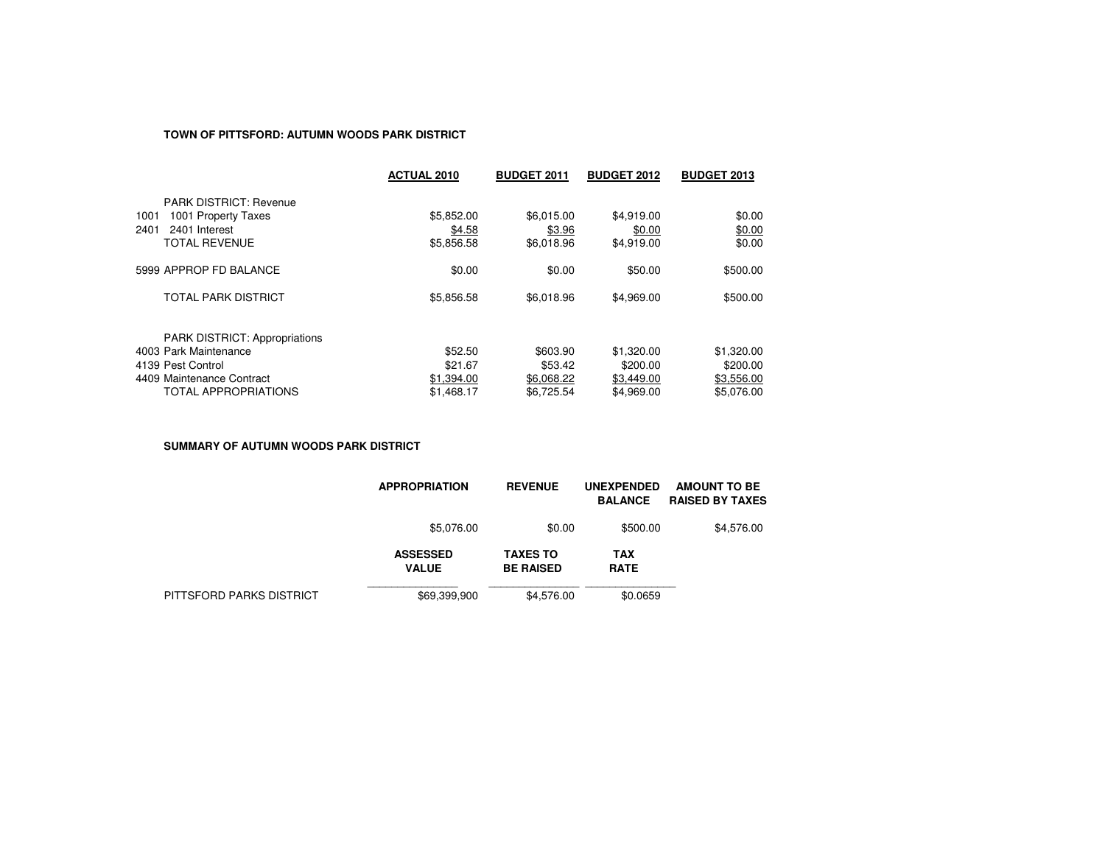## **TOWN OF PITTSFORD: AUTUMN WOODS PARK DISTRICT**

|                                      | <b>ACTUAL 2010</b> | <b>BUDGET 2011</b> | <b>BUDGET 2012</b> | <b>BUDGET 2013</b> |
|--------------------------------------|--------------------|--------------------|--------------------|--------------------|
| <b>PARK DISTRICT: Revenue</b>        |                    |                    |                    |                    |
| 1001 Property Taxes<br>1001          | \$5,852.00         | \$6.015.00         | \$4,919.00         | \$0.00             |
| 2401<br>2401 Interest                | \$4.58             | \$3.96             | \$0.00             | \$0.00             |
| <b>TOTAL REVENUE</b>                 | \$5,856.58         | \$6.018.96         | \$4.919.00         | \$0.00             |
| 5999 APPROP FD BALANCE               | \$0.00             | \$0.00             | \$50.00            | \$500.00           |
| TOTAL PARK DISTRICT                  | \$5,856.58         | \$6,018.96         | \$4,969.00         | \$500.00           |
| <b>PARK DISTRICT: Appropriations</b> |                    |                    |                    |                    |
| 4003 Park Maintenance                | \$52.50            | \$603.90           | \$1,320.00         | \$1,320.00         |
| 4139 Pest Control                    | \$21.67            | \$53.42            | \$200.00           | \$200.00           |
| 4409 Maintenance Contract            | \$1,394.00         | \$6,068.22         | \$3,449.00         | \$3,556.00         |
| <b>TOTAL APPROPRIATIONS</b>          | \$1,468.17         | \$6.725.54         | \$4.969.00         | \$5.076.00         |

**SUMMARY OF AUTUMN WOODS PARK DISTRICT**

|                          | <b>APPROPRIATION</b>            | <b>REVENUE</b>                      | <b>UNEXPENDED</b><br><b>BALANCE</b> | <b>AMOUNT TO BE</b><br><b>RAISED BY TAXES</b> |
|--------------------------|---------------------------------|-------------------------------------|-------------------------------------|-----------------------------------------------|
|                          | \$5,076.00                      | \$0.00                              | \$500.00                            | \$4,576.00                                    |
|                          | <b>ASSESSED</b><br><b>VALUE</b> | <b>TAXES TO</b><br><b>BE RAISED</b> | <b>TAX</b><br><b>RATE</b>           |                                               |
| PITTSFORD PARKS DISTRICT | \$69,399,900                    | \$4.576.00                          | \$0.0659                            |                                               |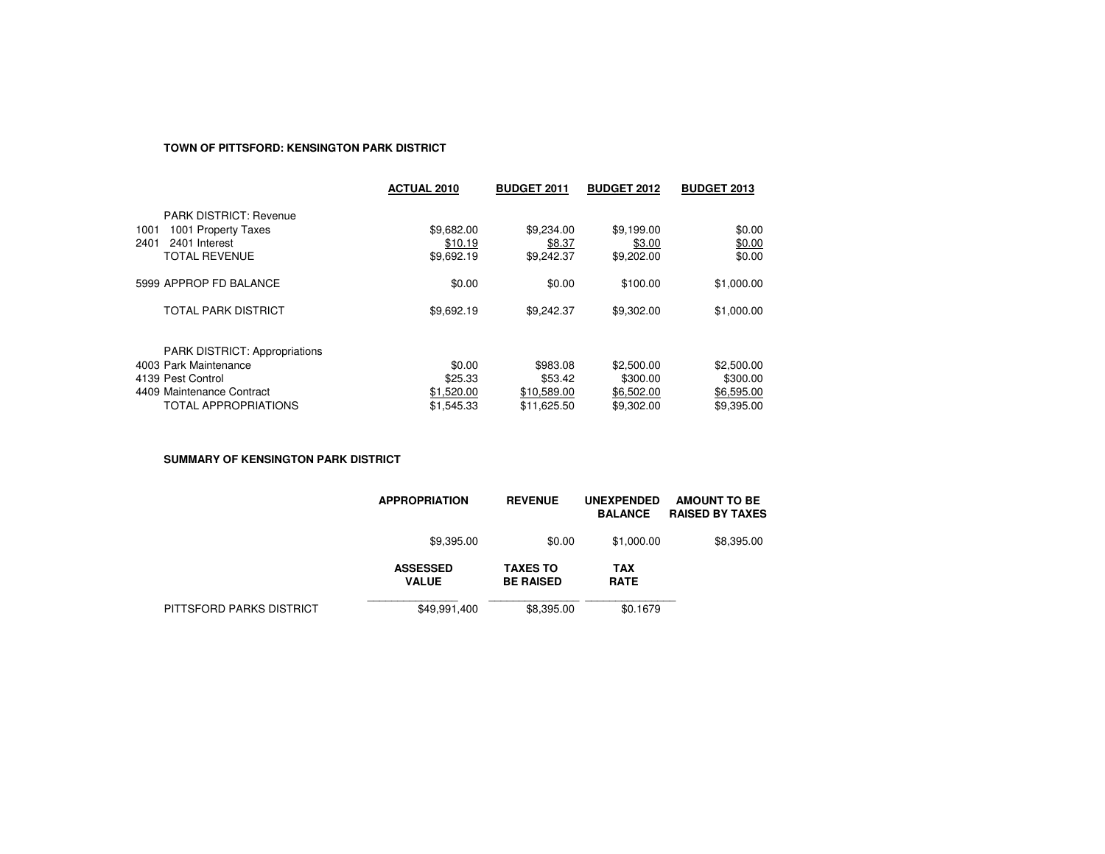# **TOWN OF PITTSFORD: KENSINGTON PARK DISTRICT**

|                                                                                                                                         | <b>ACTUAL 2010</b>                            | <b>BUDGET 2011</b>                                | <b>BUDGET 2012</b>                                 | <b>BUDGET 2013</b>                                 |
|-----------------------------------------------------------------------------------------------------------------------------------------|-----------------------------------------------|---------------------------------------------------|----------------------------------------------------|----------------------------------------------------|
| <b>PARK DISTRICT: Revenue</b><br>1001 Property Taxes<br>1001<br>2401<br>2401 Interest<br><b>TOTAL REVENUE</b>                           | \$9,682.00<br>\$10.19<br>\$9,692.19           | \$9,234.00<br>\$8.37<br>\$9,242.37                | \$9,199.00<br>\$3.00<br>\$9,202.00                 | \$0.00<br>\$0.00<br>\$0.00                         |
| 5999 APPROP FD BALANCE                                                                                                                  | \$0.00                                        | \$0.00                                            | \$100.00                                           | \$1,000.00                                         |
| <b>TOTAL PARK DISTRICT</b>                                                                                                              | \$9,692.19                                    | \$9,242.37                                        | \$9,302.00                                         | \$1,000.00                                         |
| <b>PARK DISTRICT: Appropriations</b><br>4003 Park Maintenance<br>4139 Pest Control<br>4409 Maintenance Contract<br>TOTAL APPROPRIATIONS | \$0.00<br>\$25.33<br>\$1,520.00<br>\$1,545.33 | \$983.08<br>\$53.42<br>\$10,589.00<br>\$11.625.50 | \$2,500.00<br>\$300.00<br>\$6,502.00<br>\$9,302.00 | \$2,500.00<br>\$300.00<br>\$6,595.00<br>\$9,395.00 |

**SUMMARY OF KENSINGTON PARK DISTRICT**

|                          | <b>APPROPRIATION</b>            | <b>REVENUE</b>                      | <b>UNEXPENDED</b><br><b>BALANCE</b> | <b>AMOUNT TO BE</b><br><b>RAISED BY TAXES</b> |
|--------------------------|---------------------------------|-------------------------------------|-------------------------------------|-----------------------------------------------|
|                          | \$9,395.00                      | \$0.00                              | \$1,000.00                          | \$8,395.00                                    |
|                          | <b>ASSESSED</b><br><b>VALUE</b> | <b>TAXES TO</b><br><b>BE RAISED</b> | TAX<br><b>RATE</b>                  |                                               |
| PITTSFORD PARKS DISTRICT | \$49,991,400                    | \$8,395,00                          | \$0.1679                            |                                               |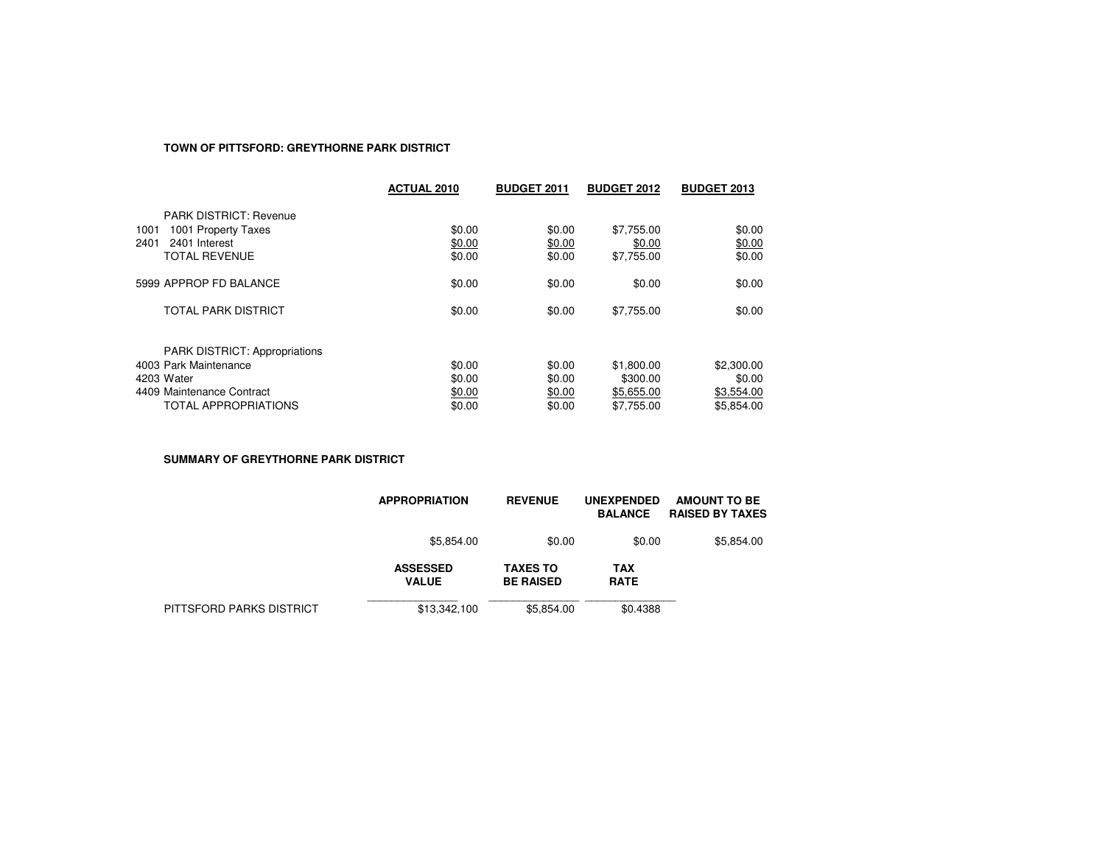# **TOWN OF PITTSFORD: GREYTHORNE PARK DISTRICT**

|                                                                                                                                         | <b>ACTUAL 2010</b>                   | <b>BUDGET 2011</b>                   | <b>BUDGET 2012</b>                                 | <b>BUDGET 2013</b>                               |
|-----------------------------------------------------------------------------------------------------------------------------------------|--------------------------------------|--------------------------------------|----------------------------------------------------|--------------------------------------------------|
| <b>PARK DISTRICT: Revenue</b><br>1001<br>1001 Property Taxes<br>2401<br>2401 Interest<br><b>TOTAL REVENUE</b>                           | \$0.00<br>\$0.00<br>\$0.00           | \$0.00<br>\$0.00<br>\$0.00           | \$7,755.00<br>\$0.00<br>\$7,755.00                 | \$0.00<br>\$0.00<br>\$0.00                       |
| 5999 APPROP FD BALANCE                                                                                                                  | \$0.00                               | \$0.00                               | \$0.00                                             | \$0.00                                           |
| <b>TOTAL PARK DISTRICT</b>                                                                                                              | \$0.00                               | \$0.00                               | \$7,755.00                                         | \$0.00                                           |
| <b>PARK DISTRICT: Appropriations</b><br>4003 Park Maintenance<br>4203 Water<br>4409 Maintenance Contract<br><b>TOTAL APPROPRIATIONS</b> | \$0.00<br>\$0.00<br>\$0.00<br>\$0.00 | \$0.00<br>\$0.00<br>\$0.00<br>\$0.00 | \$1,800.00<br>\$300.00<br>\$5,655.00<br>\$7.755.00 | \$2,300.00<br>\$0.00<br>\$3,554.00<br>\$5.854.00 |

**SUMMARY OF GREYTHORNE PARK DISTRICT**

|                          | <b>APPROPRIATION</b>            | <b>REVENUE</b>                      | <b>UNEXPENDED</b><br><b>BALANCE</b> | <b>AMOUNT TO BE</b><br><b>RAISED BY TAXES</b> |
|--------------------------|---------------------------------|-------------------------------------|-------------------------------------|-----------------------------------------------|
|                          | \$5,854.00                      | \$0.00                              | \$0.00                              | \$5,854.00                                    |
|                          | <b>ASSESSED</b><br><b>VALUE</b> | <b>TAXES TO</b><br><b>BE RAISED</b> | TAX<br><b>RATE</b>                  |                                               |
| PITTSFORD PARKS DISTRICT | \$13,342,100                    | \$5,854.00                          | \$0.4388                            |                                               |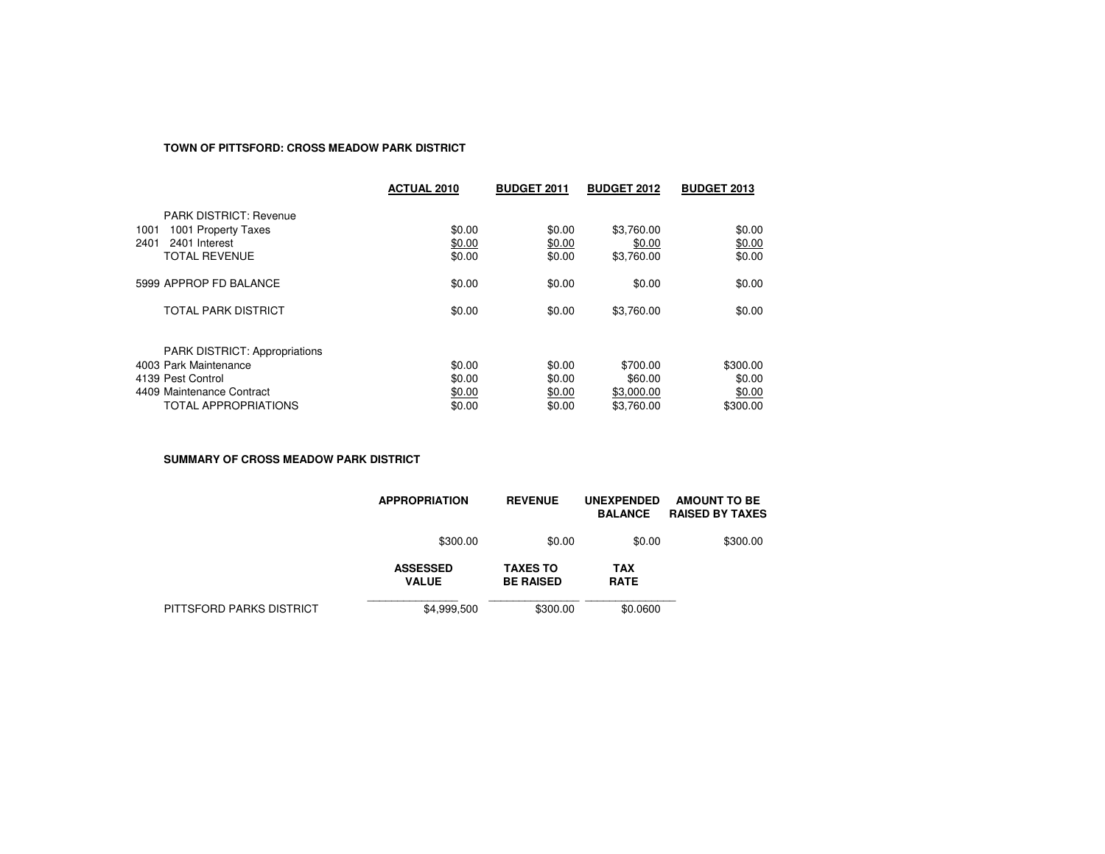# **TOWN OF PITTSFORD: CROSS MEADOW PARK DISTRICT**

|                                                                                                                                         | <b>ACTUAL 2010</b>                   | <b>BUDGET 2011</b>                   | <b>BUDGET 2012</b>                              | <b>BUDGET 2013</b>                       |
|-----------------------------------------------------------------------------------------------------------------------------------------|--------------------------------------|--------------------------------------|-------------------------------------------------|------------------------------------------|
| <b>PARK DISTRICT: Revenue</b><br>1001 Property Taxes<br>1001<br>2401<br>2401 Interest<br><b>TOTAL REVENUE</b>                           | \$0.00<br>\$0.00<br>\$0.00           | \$0.00<br>\$0.00<br>\$0.00           | \$3,760.00<br>\$0.00<br>\$3,760.00              | \$0.00<br>\$0.00<br>\$0.00               |
| 5999 APPROP FD BALANCE                                                                                                                  | \$0.00                               | \$0.00                               | \$0.00                                          | \$0.00                                   |
| <b>TOTAL PARK DISTRICT</b>                                                                                                              | \$0.00                               | \$0.00                               | \$3,760.00                                      | \$0.00                                   |
| <b>PARK DISTRICT: Appropriations</b><br>4003 Park Maintenance<br>4139 Pest Control<br>4409 Maintenance Contract<br>TOTAL APPROPRIATIONS | \$0.00<br>\$0.00<br>\$0.00<br>\$0.00 | \$0.00<br>\$0.00<br>\$0.00<br>\$0.00 | \$700.00<br>\$60.00<br>\$3,000.00<br>\$3.760.00 | \$300.00<br>\$0.00<br>\$0.00<br>\$300.00 |

**SUMMARY OF CROSS MEADOW PARK DISTRICT**

|                          | <b>APPROPRIATION</b>            | <b>REVENUE</b>                      | <b>UNEXPENDED</b><br><b>BALANCE</b> | AMOUNT TO BE<br><b>RAISED BY TAXES</b> |
|--------------------------|---------------------------------|-------------------------------------|-------------------------------------|----------------------------------------|
|                          | \$300.00                        | \$0.00                              | \$0.00                              | \$300.00                               |
|                          | <b>ASSESSED</b><br><b>VALUE</b> | <b>TAXES TO</b><br><b>BE RAISED</b> | TAX<br><b>RATE</b>                  |                                        |
| PITTSFORD PARKS DISTRICT | \$4,999,500                     | \$300.00                            | \$0.0600                            |                                        |